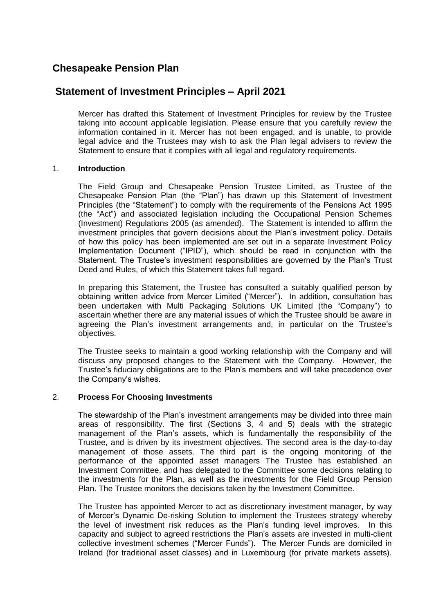# **Chesapeake Pension Plan**

# **Statement of Investment Principles – April 2021**

Mercer has drafted this Statement of Investment Principles for review by the Trustee taking into account applicable legislation. Please ensure that you carefully review the information contained in it. Mercer has not been engaged, and is unable, to provide legal advice and the Trustees may wish to ask the Plan legal advisers to review the Statement to ensure that it complies with all legal and regulatory requirements.

# 1. **Introduction**

The Field Group and Chesapeake Pension Trustee Limited, as Trustee of the Chesapeake Pension Plan (the "Plan") has drawn up this Statement of Investment Principles (the "Statement") to comply with the requirements of the Pensions Act 1995 (the "Act") and associated legislation including the Occupational Pension Schemes (Investment) Regulations 2005 (as amended). The Statement is intended to affirm the investment principles that govern decisions about the Plan's investment policy. Details of how this policy has been implemented are set out in a separate Investment Policy Implementation Document ("IPID"), which should be read in conjunction with the Statement. The Trustee's investment responsibilities are governed by the Plan's Trust Deed and Rules, of which this Statement takes full regard.

In preparing this Statement, the Trustee has consulted a suitably qualified person by obtaining written advice from Mercer Limited ("Mercer"). In addition, consultation has been undertaken with Multi Packaging Solutions UK Limited (the "Company") to ascertain whether there are any material issues of which the Trustee should be aware in agreeing the Plan's investment arrangements and, in particular on the Trustee's objectives.

The Trustee seeks to maintain a good working relationship with the Company and will discuss any proposed changes to the Statement with the Company. However, the Trustee's fiduciary obligations are to the Plan's members and will take precedence over the Company's wishes.

# 2. **Process For Choosing Investments**

The stewardship of the Plan's investment arrangements may be divided into three main areas of responsibility. The first (Sections 3, 4 and 5) deals with the strategic management of the Plan's assets, which is fundamentally the responsibility of the Trustee, and is driven by its investment objectives. The second area is the day-to-day management of those assets. The third part is the ongoing monitoring of the performance of the appointed asset managers The Trustee has established an Investment Committee, and has delegated to the Committee some decisions relating to the investments for the Plan, as well as the investments for the Field Group Pension Plan. The Trustee monitors the decisions taken by the Investment Committee.

The Trustee has appointed Mercer to act as discretionary investment manager, by way of Mercer's Dynamic De-risking Solution to implement the Trustees strategy whereby the level of investment risk reduces as the Plan's funding level improves. In this capacity and subject to agreed restrictions the Plan's assets are invested in multi-client collective investment schemes ("Mercer Funds"). The Mercer Funds are domiciled in Ireland (for traditional asset classes) and in Luxembourg (for private markets assets).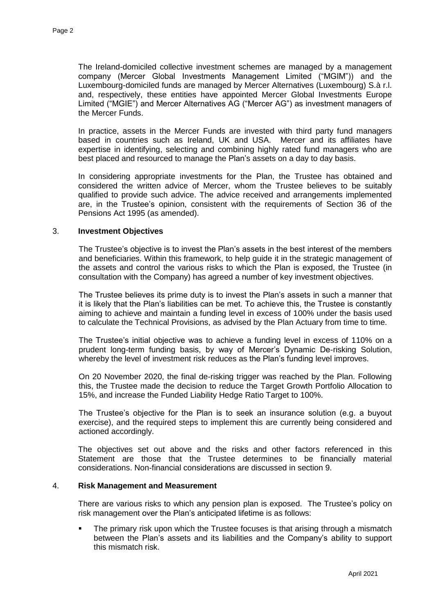The Ireland-domiciled collective investment schemes are managed by a management company (Mercer Global Investments Management Limited ("MGIM")) and the Luxembourg-domiciled funds are managed by Mercer Alternatives (Luxembourg) S.à r.l. and, respectively, these entities have appointed Mercer Global Investments Europe Limited ("MGIE") and Mercer Alternatives AG ("Mercer AG") as investment managers of the Mercer Funds.

In practice, assets in the Mercer Funds are invested with third party fund managers based in countries such as Ireland, UK and USA. Mercer and its affiliates have expertise in identifying, selecting and combining highly rated fund managers who are best placed and resourced to manage the Plan's assets on a day to day basis.

In considering appropriate investments for the Plan, the Trustee has obtained and considered the written advice of Mercer, whom the Trustee believes to be suitably qualified to provide such advice. The advice received and arrangements implemented are, in the Trustee's opinion, consistent with the requirements of Section 36 of the Pensions Act 1995 (as amended).

#### 3. **Investment Objectives**

The Trustee's objective is to invest the Plan's assets in the best interest of the members and beneficiaries. Within this framework, to help guide it in the strategic management of the assets and control the various risks to which the Plan is exposed, the Trustee (in consultation with the Company) has agreed a number of key investment objectives.

The Trustee believes its prime duty is to invest the Plan's assets in such a manner that it is likely that the Plan's liabilities can be met. To achieve this, the Trustee is constantly aiming to achieve and maintain a funding level in excess of 100% under the basis used to calculate the Technical Provisions, as advised by the Plan Actuary from time to time.

The Trustee's initial objective was to achieve a funding level in excess of 110% on a prudent long-term funding basis, by way of Mercer's Dynamic De-risking Solution, whereby the level of investment risk reduces as the Plan's funding level improves.

On 20 November 2020, the final de-risking trigger was reached by the Plan. Following this, the Trustee made the decision to reduce the Target Growth Portfolio Allocation to 15%, and increase the Funded Liability Hedge Ratio Target to 100%.

The Trustee's objective for the Plan is to seek an insurance solution (e.g. a buyout exercise), and the required steps to implement this are currently being considered and actioned accordingly.

The objectives set out above and the risks and other factors referenced in this Statement are those that the Trustee determines to be financially material considerations. Non-financial considerations are discussed in section 9.

# 4. **Risk Management and Measurement**

There are various risks to which any pension plan is exposed. The Trustee's policy on risk management over the Plan's anticipated lifetime is as follows:

 The primary risk upon which the Trustee focuses is that arising through a mismatch between the Plan's assets and its liabilities and the Company's ability to support this mismatch risk.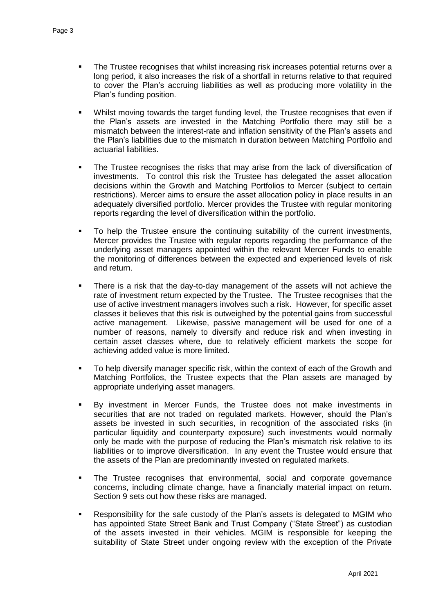- The Trustee recognises that whilst increasing risk increases potential returns over a long period, it also increases the risk of a shortfall in returns relative to that required to cover the Plan's accruing liabilities as well as producing more volatility in the Plan's funding position.
- Whilst moving towards the target funding level, the Trustee recognises that even if the Plan's assets are invested in the Matching Portfolio there may still be a mismatch between the interest-rate and inflation sensitivity of the Plan's assets and the Plan's liabilities due to the mismatch in duration between Matching Portfolio and actuarial liabilities.
- The Trustee recognises the risks that may arise from the lack of diversification of investments. To control this risk the Trustee has delegated the asset allocation decisions within the Growth and Matching Portfolios to Mercer (subject to certain restrictions). Mercer aims to ensure the asset allocation policy in place results in an adequately diversified portfolio. Mercer provides the Trustee with regular monitoring reports regarding the level of diversification within the portfolio.
- To help the Trustee ensure the continuing suitability of the current investments, Mercer provides the Trustee with regular reports regarding the performance of the underlying asset managers appointed within the relevant Mercer Funds to enable the monitoring of differences between the expected and experienced levels of risk and return.
- There is a risk that the day-to-day management of the assets will not achieve the rate of investment return expected by the Trustee. The Trustee recognises that the use of active investment managers involves such a risk. However, for specific asset classes it believes that this risk is outweighed by the potential gains from successful active management. Likewise, passive management will be used for one of a number of reasons, namely to diversify and reduce risk and when investing in certain asset classes where, due to relatively efficient markets the scope for achieving added value is more limited.
- To help diversify manager specific risk, within the context of each of the Growth and Matching Portfolios, the Trustee expects that the Plan assets are managed by appropriate underlying asset managers.
- By investment in Mercer Funds, the Trustee does not make investments in securities that are not traded on regulated markets. However, should the Plan's assets be invested in such securities, in recognition of the associated risks (in particular liquidity and counterparty exposure) such investments would normally only be made with the purpose of reducing the Plan's mismatch risk relative to its liabilities or to improve diversification. In any event the Trustee would ensure that the assets of the Plan are predominantly invested on regulated markets.
- The Trustee recognises that environmental, social and corporate governance concerns, including climate change, have a financially material impact on return. Section 9 sets out how these risks are managed.
- Responsibility for the safe custody of the Plan's assets is delegated to MGIM who has appointed State Street Bank and Trust Company ("State Street") as custodian of the assets invested in their vehicles. MGIM is responsible for keeping the suitability of State Street under ongoing review with the exception of the Private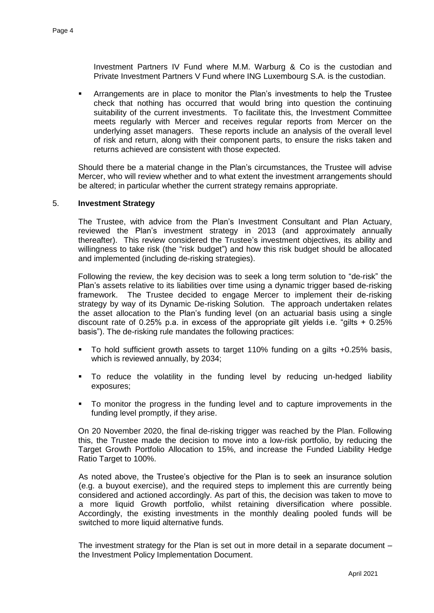Investment Partners IV Fund where M.M. Warburg & Co is the custodian and Private Investment Partners V Fund where ING Luxembourg S.A. is the custodian.

 Arrangements are in place to monitor the Plan's investments to help the Trustee check that nothing has occurred that would bring into question the continuing suitability of the current investments. To facilitate this, the Investment Committee meets regularly with Mercer and receives regular reports from Mercer on the underlying asset managers. These reports include an analysis of the overall level of risk and return, along with their component parts, to ensure the risks taken and returns achieved are consistent with those expected.

Should there be a material change in the Plan's circumstances, the Trustee will advise Mercer, who will review whether and to what extent the investment arrangements should be altered; in particular whether the current strategy remains appropriate.

# 5. **Investment Strategy**

The Trustee, with advice from the Plan's Investment Consultant and Plan Actuary, reviewed the Plan's investment strategy in 2013 (and approximately annually thereafter). This review considered the Trustee's investment objectives, its ability and willingness to take risk (the "risk budget") and how this risk budget should be allocated and implemented (including de-risking strategies).

Following the review, the key decision was to seek a long term solution to "de-risk" the Plan's assets relative to its liabilities over time using a dynamic trigger based de-risking framework. The Trustee decided to engage Mercer to implement their de-risking strategy by way of its Dynamic De-risking Solution. The approach undertaken relates the asset allocation to the Plan's funding level (on an actuarial basis using a single discount rate of 0.25% p.a. in excess of the appropriate gilt yields i.e. "gilts  $+$  0.25% basis"). The de-risking rule mandates the following practices:

- To hold sufficient growth assets to target 110% funding on a gilts +0.25% basis, which is reviewed annually, by 2034;
- To reduce the volatility in the funding level by reducing un-hedged liability exposures;
- To monitor the progress in the funding level and to capture improvements in the funding level promptly, if they arise.

On 20 November 2020, the final de-risking trigger was reached by the Plan. Following this, the Trustee made the decision to move into a low-risk portfolio, by reducing the Target Growth Portfolio Allocation to 15%, and increase the Funded Liability Hedge Ratio Target to 100%.

As noted above, the Trustee's objective for the Plan is to seek an insurance solution (e.g. a buyout exercise), and the required steps to implement this are currently being considered and actioned accordingly. As part of this, the decision was taken to move to a more liquid Growth portfolio, whilst retaining diversification where possible. Accordingly, the existing investments in the monthly dealing pooled funds will be switched to more liquid alternative funds.

The investment strategy for the Plan is set out in more detail in a separate document – the Investment Policy Implementation Document.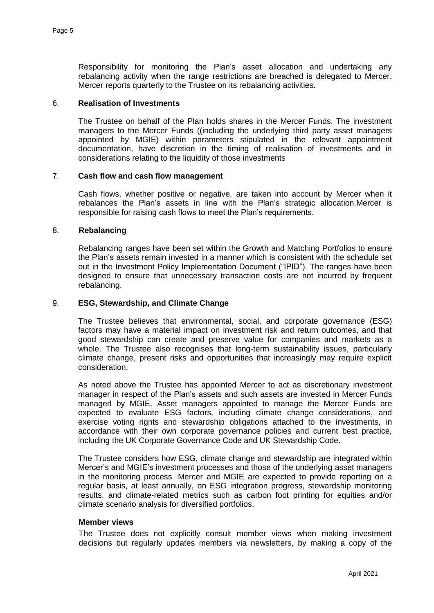Responsibility for monitoring the Plan's asset allocation and undertaking any rebalancing activity when the range restrictions are breached is delegated to Mercer. Mercer reports quarterly to the Trustee on its rebalancing activities.

#### 6. **Realisation of Investments**

The Trustee on behalf of the Plan holds shares in the Mercer Funds. The investment managers to the Mercer Funds ((including the underlying third party asset managers appointed by MGIE) within parameters stipulated in the relevant appointment documentation, have discretion in the timing of realisation of investments and in considerations relating to the liquidity of those investments

# 7. **Cash flow and cash flow management**

Cash flows, whether positive or negative, are taken into account by Mercer when it rebalances the Plan's assets in line with the Plan's strategic allocation.Mercer is responsible for raising cash flows to meet the Plan's requirements.

#### 8. **Rebalancing**

Rebalancing ranges have been set within the Growth and Matching Portfolios to ensure the Plan's assets remain invested in a manner which is consistent with the schedule set out in the Investment Policy Implementation Document ("IPID"). The ranges have been designed to ensure that unnecessary transaction costs are not incurred by frequent rebalancing.

#### 9. **ESG, Stewardship, and Climate Change**

The Trustee believes that environmental, social, and corporate governance (ESG) factors may have a material impact on investment risk and return outcomes, and that good stewardship can create and preserve value for companies and markets as a whole. The Trustee also recognises that long-term sustainability issues, particularly climate change, present risks and opportunities that increasingly may require explicit consideration.

As noted above the Trustee has appointed Mercer to act as discretionary investment manager in respect of the Plan's assets and such assets are invested in Mercer Funds managed by MGIE. Asset managers appointed to manage the Mercer Funds are expected to evaluate ESG factors, including climate change considerations, and exercise voting rights and stewardship obligations attached to the investments, in accordance with their own corporate governance policies and current best practice, including the UK Corporate Governance Code and UK Stewardship Code.

The Trustee considers how ESG, climate change and stewardship are integrated within Mercer's and MGIE's investment processes and those of the underlying asset managers in the monitoring process. Mercer and MGIE are expected to provide reporting on a regular basis, at least annually, on ESG integration progress, stewardship monitoring results, and climate-related metrics such as carbon foot printing for equities and/or climate scenario analysis for diversified portfolios.

#### **Member views**

The Trustee does not explicitly consult member views when making investment decisions but regularly updates members via newsletters, by making a copy of the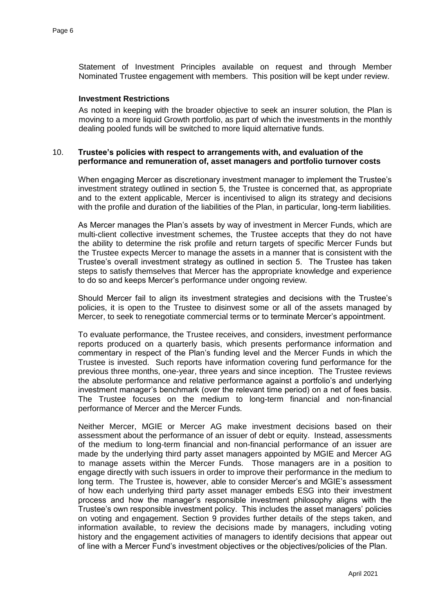Statement of Investment Principles available on request and through Member Nominated Trustee engagement with members. This position will be kept under review.

# **Investment Restrictions**

As noted in keeping with the broader objective to seek an insurer solution, the Plan is moving to a more liquid Growth portfolio, as part of which the investments in the monthly dealing pooled funds will be switched to more liquid alternative funds.

# 10. **Trustee's policies with respect to arrangements with, and evaluation of the performance and remuneration of, asset managers and portfolio turnover costs**

When engaging Mercer as discretionary investment manager to implement the Trustee's investment strategy outlined in section 5, the Trustee is concerned that, as appropriate and to the extent applicable, Mercer is incentivised to align its strategy and decisions with the profile and duration of the liabilities of the Plan, in particular, long-term liabilities.

As Mercer manages the Plan's assets by way of investment in Mercer Funds, which are multi-client collective investment schemes, the Trustee accepts that they do not have the ability to determine the risk profile and return targets of specific Mercer Funds but the Trustee expects Mercer to manage the assets in a manner that is consistent with the Trustee's overall investment strategy as outlined in section 5. The Trustee has taken steps to satisfy themselves that Mercer has the appropriate knowledge and experience to do so and keeps Mercer's performance under ongoing review.

Should Mercer fail to align its investment strategies and decisions with the Trustee's policies, it is open to the Trustee to disinvest some or all of the assets managed by Mercer, to seek to renegotiate commercial terms or to terminate Mercer's appointment.

To evaluate performance, the Trustee receives, and considers, investment performance reports produced on a quarterly basis, which presents performance information and commentary in respect of the Plan's funding level and the Mercer Funds in which the Trustee is invested. Such reports have information covering fund performance for the previous three months, one-year, three years and since inception. The Trustee reviews the absolute performance and relative performance against a portfolio's and underlying investment manager's benchmark (over the relevant time period) on a net of fees basis. The Trustee focuses on the medium to long-term financial and non-financial performance of Mercer and the Mercer Funds.

Neither Mercer, MGIE or Mercer AG make investment decisions based on their assessment about the performance of an issuer of debt or equity. Instead, assessments of the medium to long-term financial and non-financial performance of an issuer are made by the underlying third party asset managers appointed by MGIE and Mercer AG to manage assets within the Mercer Funds. Those managers are in a position to engage directly with such issuers in order to improve their performance in the medium to long term. The Trustee is, however, able to consider Mercer's and MGIE's assessment of how each underlying third party asset manager embeds ESG into their investment process and how the manager's responsible investment philosophy aligns with the Trustee's own responsible investment policy. This includes the asset managers' policies on voting and engagement. Section 9 provides further details of the steps taken, and information available, to review the decisions made by managers, including voting history and the engagement activities of managers to identify decisions that appear out of line with a Mercer Fund's investment objectives or the objectives/policies of the Plan.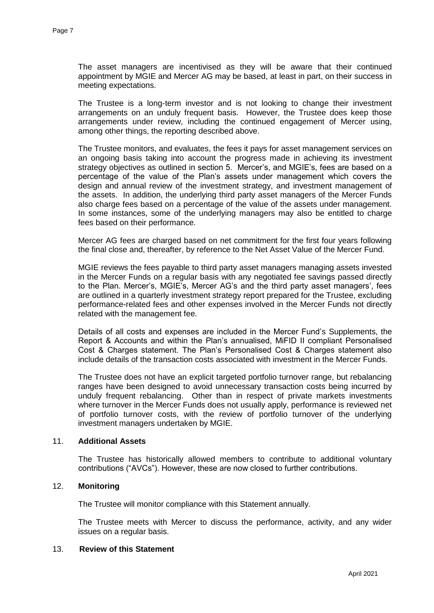The asset managers are incentivised as they will be aware that their continued appointment by MGIE and Mercer AG may be based, at least in part, on their success in meeting expectations.

The Trustee is a long-term investor and is not looking to change their investment arrangements on an unduly frequent basis. However, the Trustee does keep those arrangements under review, including the continued engagement of Mercer using, among other things, the reporting described above.

The Trustee monitors, and evaluates, the fees it pays for asset management services on an ongoing basis taking into account the progress made in achieving its investment strategy objectives as outlined in section 5. Mercer's, and MGIE's, fees are based on a percentage of the value of the Plan's assets under management which covers the design and annual review of the investment strategy, and investment management of the assets. In addition, the underlying third party asset managers of the Mercer Funds also charge fees based on a percentage of the value of the assets under management. In some instances, some of the underlying managers may also be entitled to charge fees based on their performance.

Mercer AG fees are charged based on net commitment for the first four years following the final close and, thereafter, by reference to the Net Asset Value of the Mercer Fund.

MGIE reviews the fees payable to third party asset managers managing assets invested in the Mercer Funds on a regular basis with any negotiated fee savings passed directly to the Plan. Mercer's, MGIE's, Mercer AG's and the third party asset managers', fees are outlined in a quarterly investment strategy report prepared for the Trustee, excluding performance-related fees and other expenses involved in the Mercer Funds not directly related with the management fee.

Details of all costs and expenses are included in the Mercer Fund's Supplements, the Report & Accounts and within the Plan's annualised, MiFID II compliant Personalised Cost & Charges statement. The Plan's Personalised Cost & Charges statement also include details of the transaction costs associated with investment in the Mercer Funds.

The Trustee does not have an explicit targeted portfolio turnover range, but rebalancing ranges have been designed to avoid unnecessary transaction costs being incurred by unduly frequent rebalancing. Other than in respect of private markets investments where turnover in the Mercer Funds does not usually apply, performance is reviewed net of portfolio turnover costs, with the review of portfolio turnover of the underlying investment managers undertaken by MGIE.

# 11. **Additional Assets**

The Trustee has historically allowed members to contribute to additional voluntary contributions ("AVCs"). However, these are now closed to further contributions.

# 12. **Monitoring**

The Trustee will monitor compliance with this Statement annually.

The Trustee meets with Mercer to discuss the performance, activity, and any wider issues on a regular basis.

# 13. **Review of this Statement**